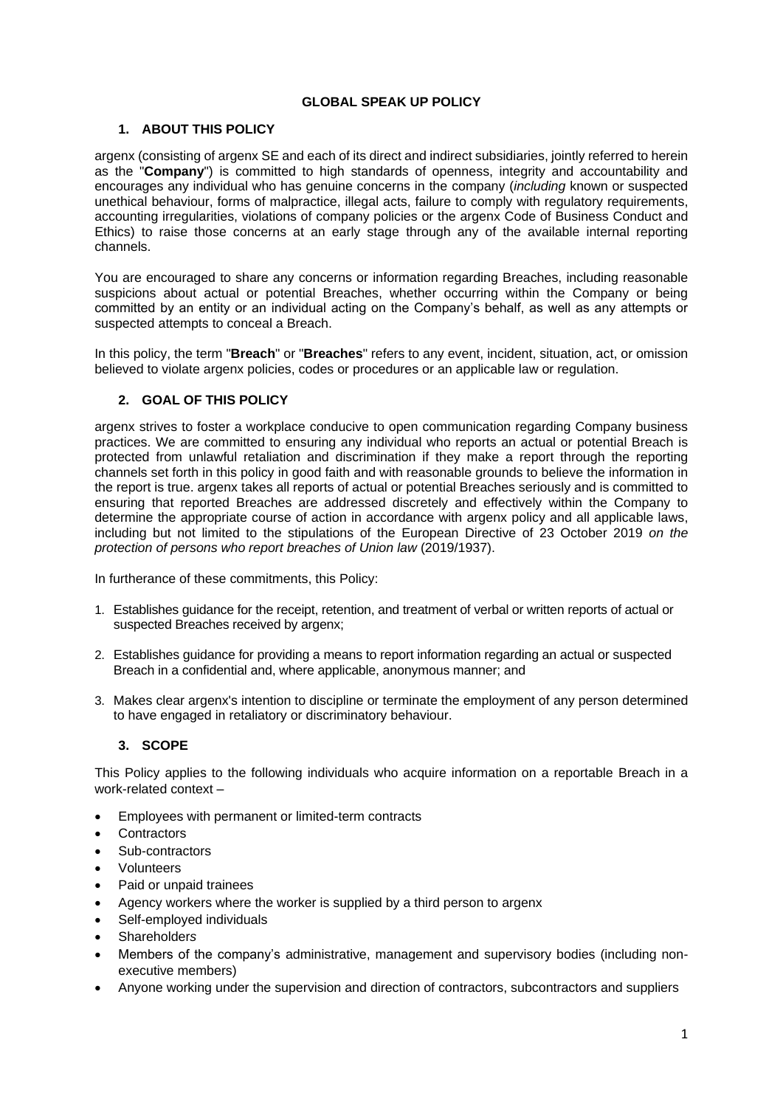### **GLOBAL SPEAK UP POLICY**

## **1. ABOUT THIS POLICY**

argenx (consisting of argenx SE and each of its direct and indirect subsidiaries, jointly referred to herein as the "**Company**") is committed to high standards of openness, integrity and accountability and encourages any individual who has genuine concerns in the company (*including* known or suspected unethical behaviour, forms of malpractice, illegal acts, failure to comply with regulatory requirements, accounting irregularities, violations of company policies or the argenx Code of Business Conduct and Ethics) to raise those concerns at an early stage through any of the available internal reporting channels.

You are encouraged to share any concerns or information regarding Breaches, including reasonable suspicions about actual or potential Breaches, whether occurring within the Company or being committed by an entity or an individual acting on the Company's behalf, as well as any attempts or suspected attempts to conceal a Breach.

In this policy, the term "**Breach**" or "**Breaches**" refers to any event, incident, situation, act, or omission believed to violate argenx policies, codes or procedures or an applicable law or regulation.

## **2. GOAL OF THIS POLICY**

argenx strives to foster a workplace conducive to open communication regarding Company business practices. We are committed to ensuring any individual who reports an actual or potential Breach is protected from unlawful retaliation and discrimination if they make a report through the reporting channels set forth in this policy in good faith and with reasonable grounds to believe the information in the report is true. argenx takes all reports of actual or potential Breaches seriously and is committed to ensuring that reported Breaches are addressed discretely and effectively within the Company to determine the appropriate course of action in accordance with argenx policy and all applicable laws, including but not limited to the stipulations of the European Directive of 23 October 2019 *on the protection of persons who report breaches of Union law* (2019/1937).

In furtherance of these commitments, this Policy:

- 1. Establishes guidance for the receipt, retention, and treatment of verbal or written reports of actual or suspected Breaches received by argenx:
- 2. Establishes guidance for providing a means to report information regarding an actual or suspected Breach in a confidential and, where applicable, anonymous manner; and
- 3. Makes clear argenx's intention to discipline or terminate the employment of any person determined to have engaged in retaliatory or discriminatory behaviour.

#### **3. SCOPE**

This Policy applies to the following individuals who acquire information on a reportable Breach in a work-related context –

- Employees with permanent or limited-term contracts
- **Contractors**
- Sub-contractors
- Volunteers
- Paid or unpaid trainees
- Agency workers where the worker is supplied by a third person to argenx
- Self-employed individuals
- Shareholder*s*
- Members of the company's administrative, management and supervisory bodies (including nonexecutive members)
- Anyone working under the supervision and direction of contractors, subcontractors and suppliers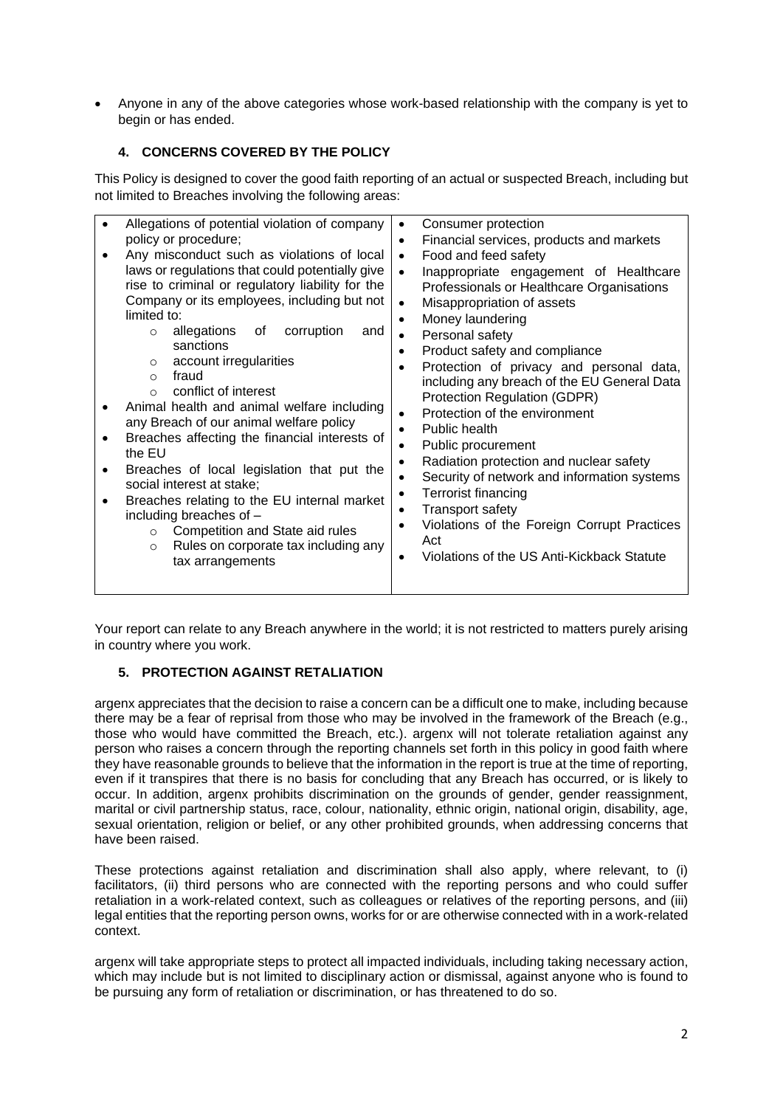• Anyone in any of the above categories whose work-based relationship with the company is yet to begin or has ended.

# **4. CONCERNS COVERED BY THE POLICY**

This Policy is designed to cover the good faith reporting of an actual or suspected Breach, including but not limited to Breaches involving the following areas:

| policy or procedure;<br>Any misconduct such as violations of local<br>laws or regulations that could potentially give<br>rise to criminal or regulatory liability for the<br>Company or its employees, including but not<br>limited to:<br>allegations<br>corruption<br>of<br>and<br>$\Omega$<br>sanctions<br>account irregularities<br>$\circ$<br>fraud<br>$\Omega$<br>conflict of interest<br>$\Omega$<br>Animal health and animal welfare including<br>any Breach of our animal welfare policy<br>Breaches affecting the financial interests of<br>the EU<br>Breaches of local legislation that put the<br>social interest at stake;<br>Breaches relating to the EU internal market<br>including breaches of -<br>Competition and State aid rules<br>$\circ$<br>Rules on corporate tax including any<br>$\circ$<br>tax arrangements | Financial services, products and markets<br>$\bullet$<br>Food and feed safety<br>$\bullet$<br>Inappropriate engagement of Healthcare<br>$\bullet$<br>Professionals or Healthcare Organisations<br>Misappropriation of assets<br>$\bullet$<br>Money laundering<br>$\bullet$<br>Personal safety<br>$\bullet$<br>Product safety and compliance<br>$\bullet$<br>Protection of privacy and personal data,<br>$\bullet$<br>including any breach of the EU General Data<br>Protection Regulation (GDPR)<br>Protection of the environment<br>$\bullet$<br>Public health<br>Public procurement<br>$\bullet$<br>Radiation protection and nuclear safety<br>$\bullet$<br>Security of network and information systems<br>$\bullet$<br>Terrorist financing<br>$\bullet$<br><b>Transport safety</b><br>$\bullet$<br>Violations of the Foreign Corrupt Practices<br>$\bullet$<br>Act<br>Violations of the US Anti-Kickback Statute<br>$\bullet$ |
|----------------------------------------------------------------------------------------------------------------------------------------------------------------------------------------------------------------------------------------------------------------------------------------------------------------------------------------------------------------------------------------------------------------------------------------------------------------------------------------------------------------------------------------------------------------------------------------------------------------------------------------------------------------------------------------------------------------------------------------------------------------------------------------------------------------------------------------|----------------------------------------------------------------------------------------------------------------------------------------------------------------------------------------------------------------------------------------------------------------------------------------------------------------------------------------------------------------------------------------------------------------------------------------------------------------------------------------------------------------------------------------------------------------------------------------------------------------------------------------------------------------------------------------------------------------------------------------------------------------------------------------------------------------------------------------------------------------------------------------------------------------------------------|
|----------------------------------------------------------------------------------------------------------------------------------------------------------------------------------------------------------------------------------------------------------------------------------------------------------------------------------------------------------------------------------------------------------------------------------------------------------------------------------------------------------------------------------------------------------------------------------------------------------------------------------------------------------------------------------------------------------------------------------------------------------------------------------------------------------------------------------------|----------------------------------------------------------------------------------------------------------------------------------------------------------------------------------------------------------------------------------------------------------------------------------------------------------------------------------------------------------------------------------------------------------------------------------------------------------------------------------------------------------------------------------------------------------------------------------------------------------------------------------------------------------------------------------------------------------------------------------------------------------------------------------------------------------------------------------------------------------------------------------------------------------------------------------|

Your report can relate to any Breach anywhere in the world; it is not restricted to matters purely arising in country where you work.

#### **5. PROTECTION AGAINST RETALIATION**

argenx appreciates that the decision to raise a concern can be a difficult one to make, including because there may be a fear of reprisal from those who may be involved in the framework of the Breach (e.g., those who would have committed the Breach, etc.). argenx will not tolerate retaliation against any person who raises a concern through the reporting channels set forth in this policy in good faith where they have reasonable grounds to believe that the information in the report is true at the time of reporting, even if it transpires that there is no basis for concluding that any Breach has occurred, or is likely to occur. In addition, argenx prohibits discrimination on the grounds of gender, gender reassignment, marital or civil partnership status, race, colour, nationality, ethnic origin, national origin, disability, age, sexual orientation, religion or belief, or any other prohibited grounds, when addressing concerns that have been raised.

These protections against retaliation and discrimination shall also apply, where relevant, to (i) facilitators, (ii) third persons who are connected with the reporting persons and who could suffer retaliation in a work-related context, such as colleagues or relatives of the reporting persons, and (iii) legal entities that the reporting person owns, works for or are otherwise connected with in a work-related context.

argenx will take appropriate steps to protect all impacted individuals, including taking necessary action, which may include but is not limited to disciplinary action or dismissal, against anyone who is found to be pursuing any form of retaliation or discrimination, or has threatened to do so.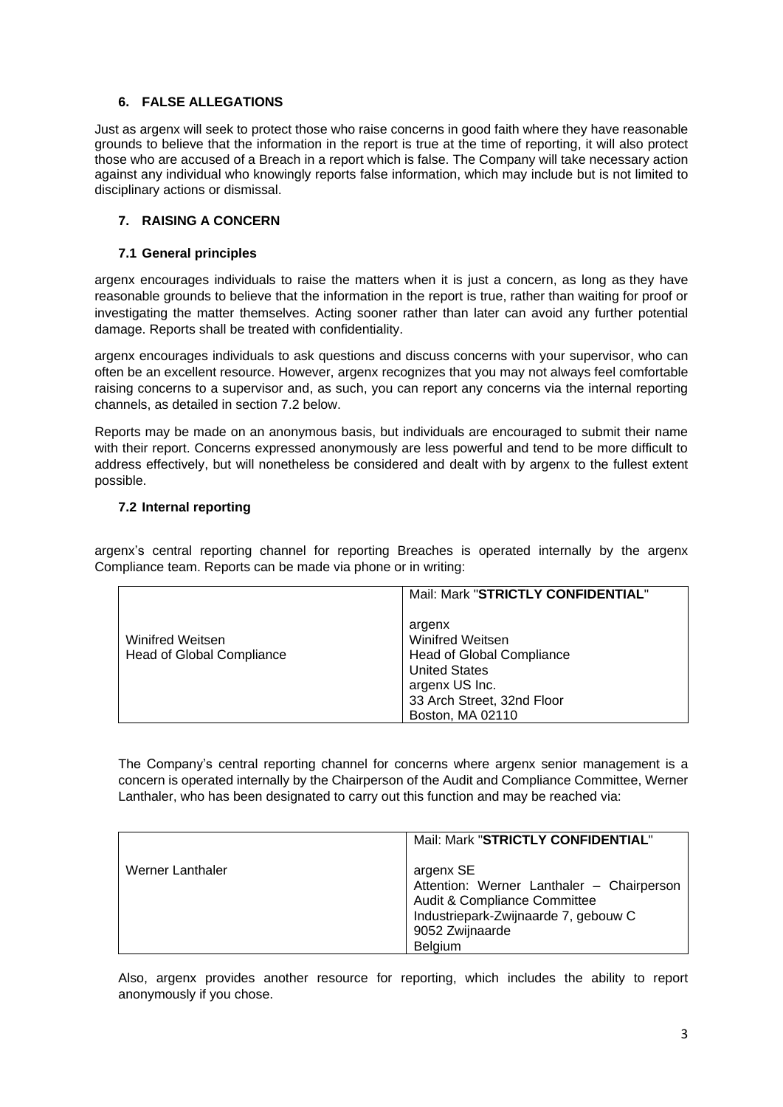### **6. FALSE ALLEGATIONS**

Just as argenx will seek to protect those who raise concerns in good faith where they have reasonable grounds to believe that the information in the report is true at the time of reporting, it will also protect those who are accused of a Breach in a report which is false. The Company will take necessary action against any individual who knowingly reports false information, which may include but is not limited to disciplinary actions or dismissal.

## **7. RAISING A CONCERN**

#### **7.1 General principles**

argenx encourages individuals to raise the matters when it is just a concern, as long as they have reasonable grounds to believe that the information in the report is true, rather than waiting for proof or investigating the matter themselves. Acting sooner rather than later can avoid any further potential damage. Reports shall be treated with confidentiality.

argenx encourages individuals to ask questions and discuss concerns with your supervisor, who can often be an excellent resource. However, argenx recognizes that you may not always feel comfortable raising concerns to a supervisor and, as such, you can report any concerns via the internal reporting channels, as detailed in section 7.2 below.

Reports may be made on an anonymous basis, but individuals are encouraged to submit their name with their report. Concerns expressed anonymously are less powerful and tend to be more difficult to address effectively, but will nonetheless be considered and dealt with by argenx to the fullest extent possible.

#### <span id="page-2-0"></span>**7.2 Internal reporting**

argenx's central reporting channel for reporting Breaches is operated internally by the argenx Compliance team. Reports can be made via phone or in writing:

|                                                             | Mail: Mark "STRICTLY CONFIDENTIAL"                                                                                                                  |
|-------------------------------------------------------------|-----------------------------------------------------------------------------------------------------------------------------------------------------|
| <b>Winifred Weitsen</b><br><b>Head of Global Compliance</b> | argenx<br>Winifred Weitsen<br>Head of Global Compliance<br><b>United States</b><br>argenx US Inc.<br>33 Arch Street, 32nd Floor<br>Boston, MA 02110 |

The Company's central reporting channel for concerns where argenx senior management is a concern is operated internally by the Chairperson of the Audit and Compliance Committee, Werner Lanthaler, who has been designated to carry out this function and may be reached via:

|                  | Mail: Mark "STRICTLY CONFIDENTIAL"                                                                                                                           |
|------------------|--------------------------------------------------------------------------------------------------------------------------------------------------------------|
| Werner Lanthaler | argenx SE<br>Attention: Werner Lanthaler - Chairperson<br>Audit & Compliance Committee<br>Industriepark-Zwijnaarde 7, gebouw C<br>9052 Zwijnaarde<br>Belgium |

Also, argenx provides another resource for reporting, which includes the ability to report anonymously if you chose.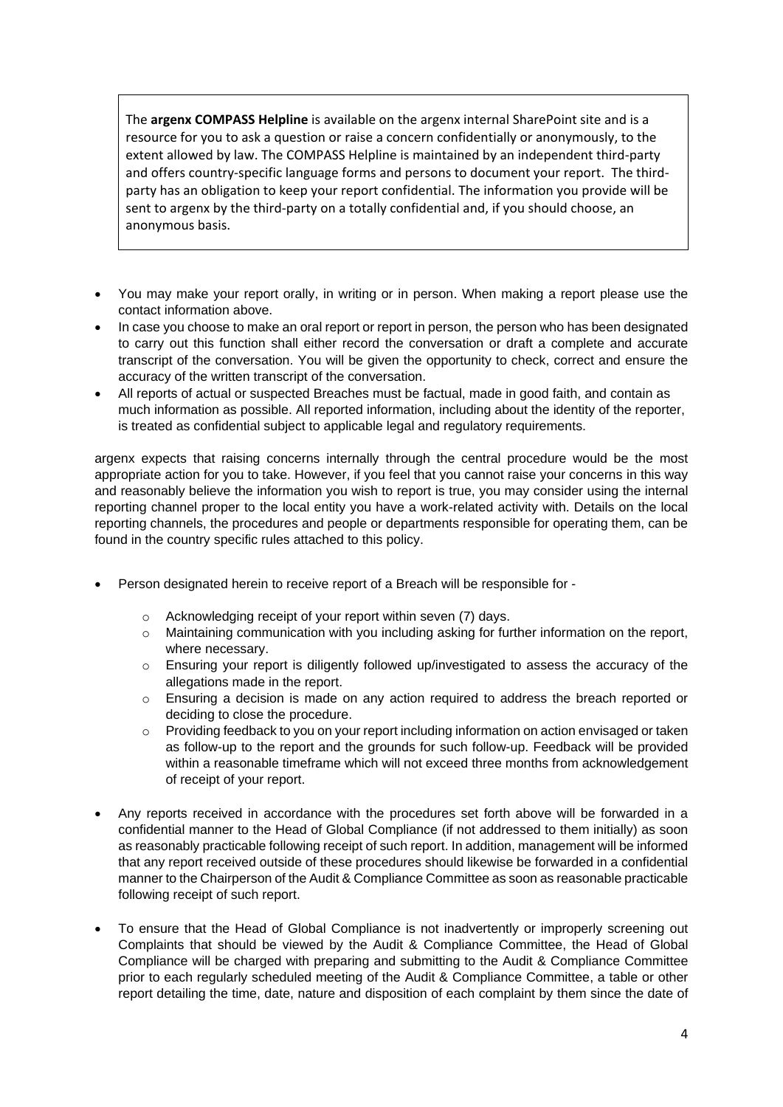The **argenx COMPASS Helpline** is available on the argenx internal SharePoint site and is a resource for you to ask a question or raise a concern confidentially or anonymously, to the extent allowed by law. The COMPASS Helpline is maintained by an independent third-party and offers country-specific language forms and persons to document your report. The thirdparty has an obligation to keep your report confidential. The information you provide will be sent to argenx by the third-party on a totally confidential and, if you should choose, an anonymous basis.

- You may make your report orally, in writing or in person. When making a report please use the contact information above.
- In case you choose to make an oral report or report in person, the person who has been designated to carry out this function shall either record the conversation or draft a complete and accurate transcript of the conversation. You will be given the opportunity to check, correct and ensure the accuracy of the written transcript of the conversation.
- All reports of actual or suspected Breaches must be factual, made in good faith, and contain as much information as possible. All reported information, including about the identity of the reporter, is treated as confidential subject to applicable legal and regulatory requirements.

argenx expects that raising concerns internally through the central procedure would be the most appropriate action for you to take. However, if you feel that you cannot raise your concerns in this way and reasonably believe the information you wish to report is true, you may consider using the internal reporting channel proper to the local entity you have a work-related activity with. Details on the local reporting channels, the procedures and people or departments responsible for operating them, can be found in the country specific rules attached to this policy.

- Person designated herein to receive report of a Breach will be responsible for
	- o Acknowledging receipt of your report within seven (7) days.
	- $\circ$  Maintaining communication with you including asking for further information on the report, where necessary.
	- o Ensuring your report is diligently followed up/investigated to assess the accuracy of the allegations made in the report.
	- $\circ$  Ensuring a decision is made on any action required to address the breach reported or deciding to close the procedure.
	- $\circ$  Providing feedback to you on your report including information on action envisaged or taken as follow-up to the report and the grounds for such follow-up. Feedback will be provided within a reasonable timeframe which will not exceed three months from acknowledgement of receipt of your report.
- Any reports received in accordance with the procedures set forth above will be forwarded in a confidential manner to the Head of Global Compliance (if not addressed to them initially) as soon as reasonably practicable following receipt of such report. In addition, management will be informed that any report received outside of these procedures should likewise be forwarded in a confidential manner to the Chairperson of the Audit & Compliance Committee as soon as reasonable practicable following receipt of such report.
- To ensure that the Head of Global Compliance is not inadvertently or improperly screening out Complaints that should be viewed by the Audit & Compliance Committee, the Head of Global Compliance will be charged with preparing and submitting to the Audit & Compliance Committee prior to each regularly scheduled meeting of the Audit & Compliance Committee, a table or other report detailing the time, date, nature and disposition of each complaint by them since the date of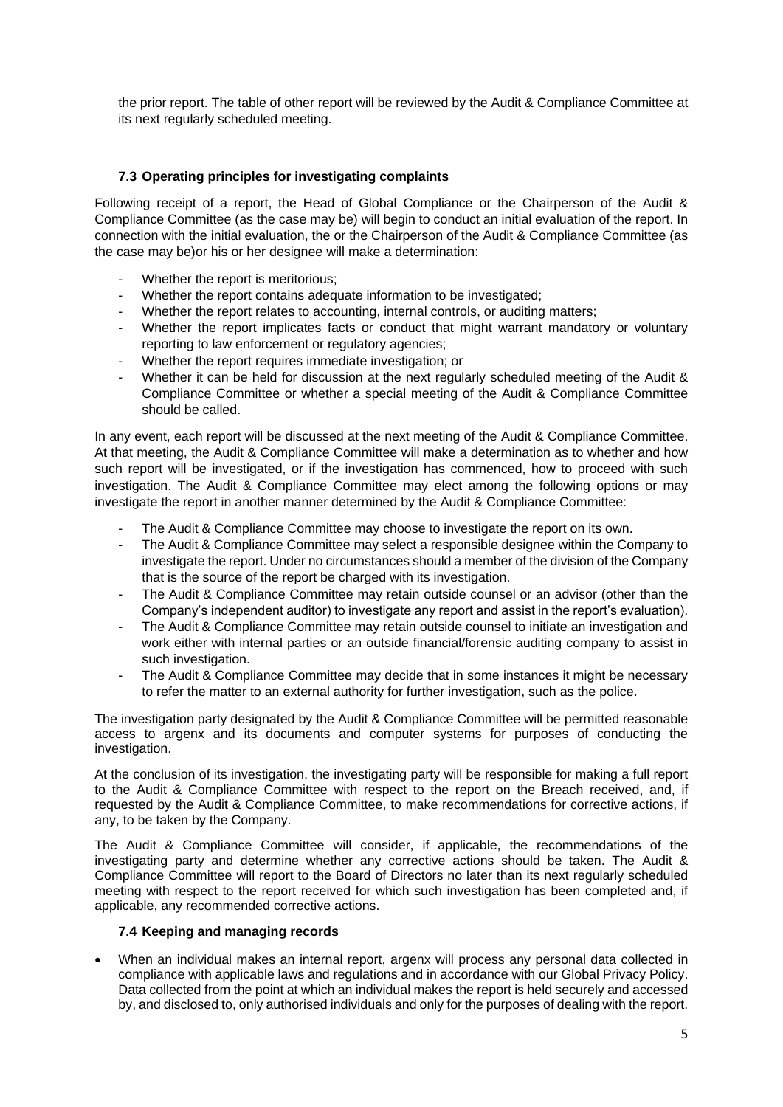the prior report. The table of other report will be reviewed by the Audit & Compliance Committee at its next regularly scheduled meeting.

## **7.3 Operating principles for investigating complaints**

Following receipt of a report, the Head of Global Compliance or the Chairperson of the Audit & Compliance Committee (as the case may be) will begin to conduct an initial evaluation of the report. In connection with the initial evaluation, the or the Chairperson of the Audit & Compliance Committee (as the case may be)or his or her designee will make a determination:

- Whether the report is meritorious;
- Whether the report contains adequate information to be investigated:
- Whether the report relates to accounting, internal controls, or auditing matters;
- Whether the report implicates facts or conduct that might warrant mandatory or voluntary reporting to law enforcement or regulatory agencies;
- Whether the report requires immediate investigation; or
- Whether it can be held for discussion at the next regularly scheduled meeting of the Audit & Compliance Committee or whether a special meeting of the Audit & Compliance Committee should be called.

In any event, each report will be discussed at the next meeting of the Audit & Compliance Committee. At that meeting, the Audit & Compliance Committee will make a determination as to whether and how such report will be investigated, or if the investigation has commenced, how to proceed with such investigation. The Audit & Compliance Committee may elect among the following options or may investigate the report in another manner determined by the Audit & Compliance Committee:

- The Audit & Compliance Committee may choose to investigate the report on its own.
- The Audit & Compliance Committee may select a responsible designee within the Company to investigate the report. Under no circumstances should a member of the division of the Company that is the source of the report be charged with its investigation.
- The Audit & Compliance Committee may retain outside counsel or an advisor (other than the Company's independent auditor) to investigate any report and assist in the report's evaluation).
- The Audit & Compliance Committee may retain outside counsel to initiate an investigation and work either with internal parties or an outside financial/forensic auditing company to assist in such investigation.
- The Audit & Compliance Committee may decide that in some instances it might be necessary to refer the matter to an external authority for further investigation, such as the police.

The investigation party designated by the Audit & Compliance Committee will be permitted reasonable access to argenx and its documents and computer systems for purposes of conducting the investigation.

At the conclusion of its investigation, the investigating party will be responsible for making a full report to the Audit & Compliance Committee with respect to the report on the Breach received, and, if requested by the Audit & Compliance Committee, to make recommendations for corrective actions, if any, to be taken by the Company.

The Audit & Compliance Committee will consider, if applicable, the recommendations of the investigating party and determine whether any corrective actions should be taken. The Audit & Compliance Committee will report to the Board of Directors no later than its next regularly scheduled meeting with respect to the report received for which such investigation has been completed and, if applicable, any recommended corrective actions.

#### **7.4 Keeping and managing records**

• When an individual makes an internal report, argenx will process any personal data collected in compliance with applicable laws and regulations and in accordance with our Global Privacy Policy. Data collected from the point at which an individual makes the report is held securely and accessed by, and disclosed to, only authorised individuals and only for the purposes of dealing with the report.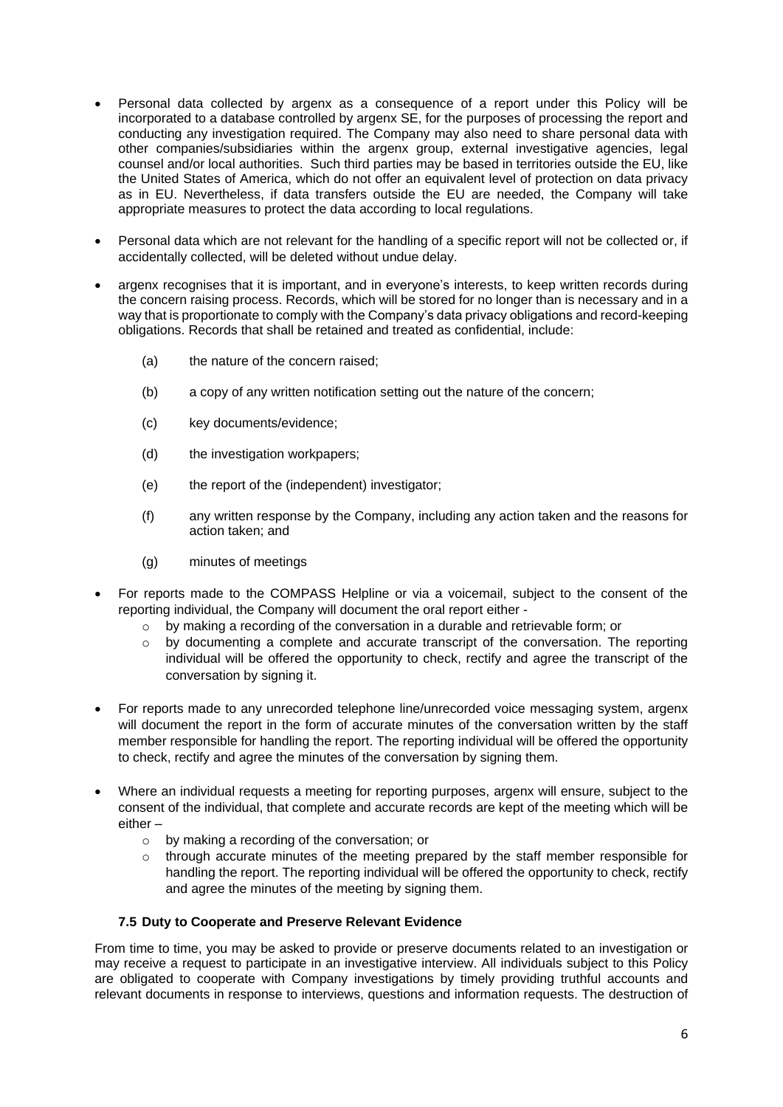- Personal data collected by argenx as a consequence of a report under this Policy will be incorporated to a database controlled by argenx SE, for the purposes of processing the report and conducting any investigation required. The Company may also need to share personal data with other companies/subsidiaries within the argenx group, external investigative agencies, legal counsel and/or local authorities. Such third parties may be based in territories outside the EU, like the United States of America, which do not offer an equivalent level of protection on data privacy as in EU. Nevertheless, if data transfers outside the EU are needed, the Company will take appropriate measures to protect the data according to local regulations.
- Personal data which are not relevant for the handling of a specific report will not be collected or, if accidentally collected, will be deleted without undue delay.
- argenx recognises that it is important, and in everyone's interests, to keep written records during the concern raising process. Records, which will be stored for no longer than is necessary and in a way that is proportionate to comply with the Company's data privacy obligations and record-keeping obligations. Records that shall be retained and treated as confidential, include:
	- (a) the nature of the concern raised;
	- (b) a copy of any written notification setting out the nature of the concern;
	- (c) key documents/evidence;
	- (d) the investigation workpapers;
	- (e) the report of the (independent) investigator;
	- (f) any written response by the Company, including any action taken and the reasons for action taken; and
	- (g) minutes of meetings
- For reports made to the COMPASS Helpline or via a voicemail, subject to the consent of the reporting individual, the Company will document the oral report either
	- o by making a recording of the conversation in a durable and retrievable form; or
	- o by documenting a complete and accurate transcript of the conversation. The reporting individual will be offered the opportunity to check, rectify and agree the transcript of the conversation by signing it.
- For reports made to any unrecorded telephone line/unrecorded voice messaging system, argenx will document the report in the form of accurate minutes of the conversation written by the staff member responsible for handling the report. The reporting individual will be offered the opportunity to check, rectify and agree the minutes of the conversation by signing them.
- Where an individual requests a meeting for reporting purposes, argenx will ensure, subject to the consent of the individual, that complete and accurate records are kept of the meeting which will be either –
	- o by making a recording of the conversation; or
	- $\circ$  through accurate minutes of the meeting prepared by the staff member responsible for handling the report. The reporting individual will be offered the opportunity to check, rectify and agree the minutes of the meeting by signing them.

#### **7.5 Duty to Cooperate and Preserve Relevant Evidence**

From time to time, you may be asked to provide or preserve documents related to an investigation or may receive a request to participate in an investigative interview. All individuals subject to this Policy are obligated to cooperate with Company investigations by timely providing truthful accounts and relevant documents in response to interviews, questions and information requests. The destruction of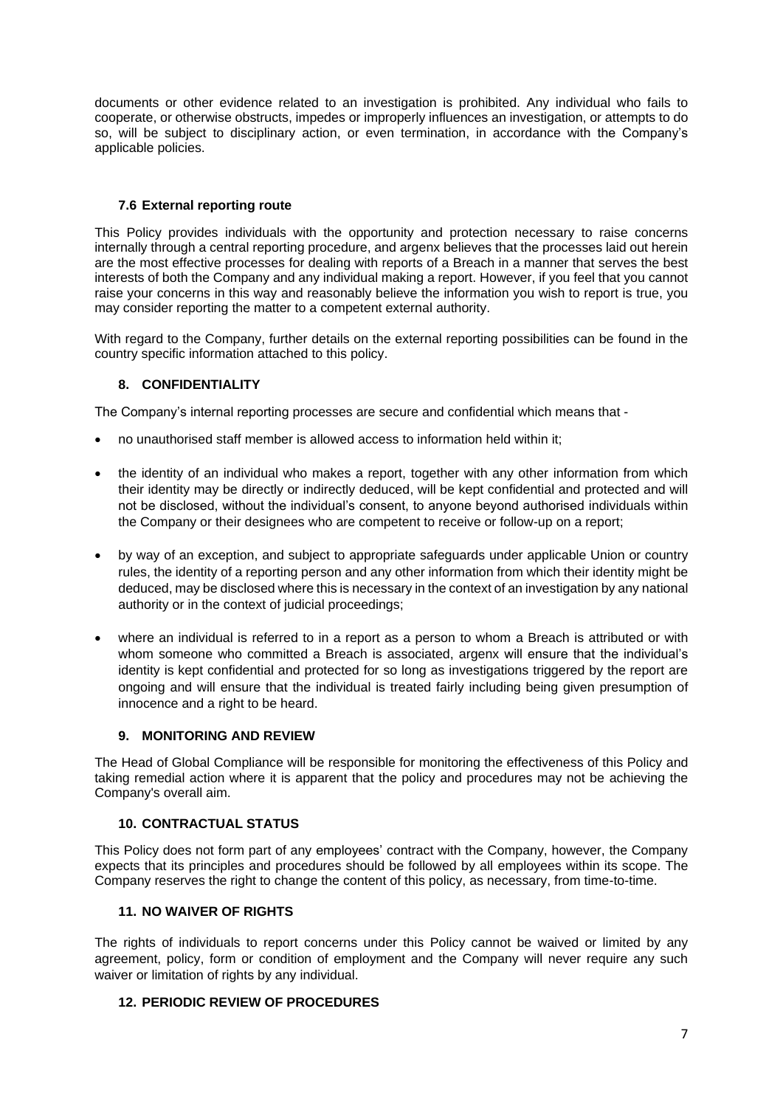documents or other evidence related to an investigation is prohibited. Any individual who fails to cooperate, or otherwise obstructs, impedes or improperly influences an investigation, or attempts to do so, will be subject to disciplinary action, or even termination, in accordance with the Company's applicable policies.

## **7.6 External reporting route**

<span id="page-6-0"></span>This Policy provides individuals with the opportunity and protection necessary to raise concerns internally through a central reporting procedure, and argenx believes that the processes laid out herein are the most effective processes for dealing with reports of a Breach in a manner that serves the best interests of both the Company and any individual making a report. However, if you feel that you cannot raise your concerns in this way and reasonably believe the information you wish to report is true, you may consider reporting the matter to a competent external authority.

With regard to the Company, further details on the external reporting possibilities can be found in the country specific information attached to this policy.

## **8. CONFIDENTIALITY**

The Company's internal reporting processes are secure and confidential which means that -

- no unauthorised staff member is allowed access to information held within it;
- the identity of an individual who makes a report, together with any other information from which their identity may be directly or indirectly deduced, will be kept confidential and protected and will not be disclosed, without the individual's consent, to anyone beyond authorised individuals within the Company or their designees who are competent to receive or follow-up on a report;
- by way of an exception, and subject to appropriate safeguards under applicable Union or country rules, the identity of a reporting person and any other information from which their identity might be deduced, may be disclosed where this is necessary in the context of an investigation by any national authority or in the context of judicial proceedings;
- where an individual is referred to in a report as a person to whom a Breach is attributed or with whom someone who committed a Breach is associated, argenx will ensure that the individual's identity is kept confidential and protected for so long as investigations triggered by the report are ongoing and will ensure that the individual is treated fairly including being given presumption of innocence and a right to be heard.

#### **9. MONITORING AND REVIEW**

The Head of Global Compliance will be responsible for monitoring the effectiveness of this Policy and taking remedial action where it is apparent that the policy and procedures may not be achieving the Company's overall aim.

#### **10. CONTRACTUAL STATUS**

This Policy does not form part of any employees' contract with the Company, however, the Company expects that its principles and procedures should be followed by all employees within its scope. The Company reserves the right to change the content of this policy, as necessary, from time-to-time.

#### **11. NO WAIVER OF RIGHTS**

The rights of individuals to report concerns under this Policy cannot be waived or limited by any agreement, policy, form or condition of employment and the Company will never require any such waiver or limitation of rights by any individual.

#### **12. PERIODIC REVIEW OF PROCEDURES**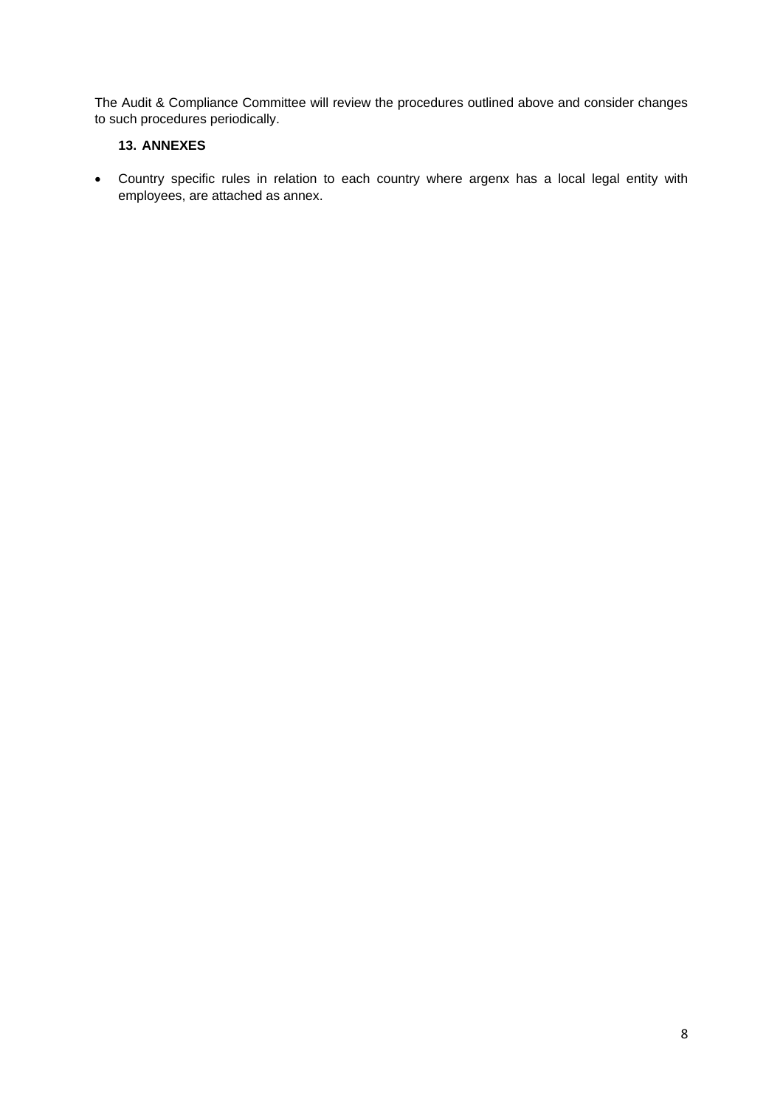The Audit & Compliance Committee will review the procedures outlined above and consider changes to such procedures periodically.

## **13. ANNEXES**

• Country specific rules in relation to each country where argenx has a local legal entity with employees, are attached as annex.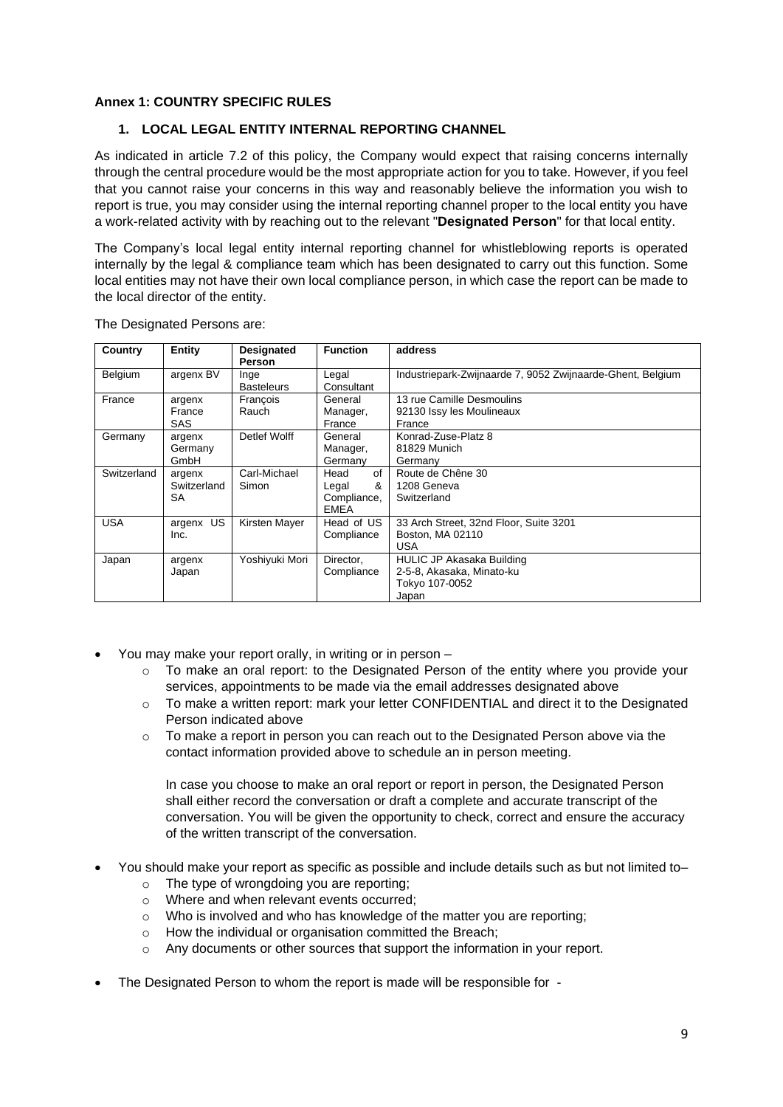## **Annex 1: COUNTRY SPECIFIC RULES**

### **1. LOCAL LEGAL ENTITY INTERNAL REPORTING CHANNEL**

As indicated in article [7.2](#page-2-0) of this policy, the Company would expect that raising concerns internally through the central procedure would be the most appropriate action for you to take. However, if you feel that you cannot raise your concerns in this way and reasonably believe the information you wish to report is true, you may consider using the internal reporting channel proper to the local entity you have a work-related activity with by reaching out to the relevant "**Designated Person**" for that local entity.

The Company's local legal entity internal reporting channel for whistleblowing reports is operated internally by the legal & compliance team which has been designated to carry out this function. Some local entities may not have their own local compliance person, in which case the report can be made to the local director of the entity.

| Country     | Entity                      | <b>Designated</b><br><b>Person</b> | <b>Function</b>                                        | address                                                                                  |
|-------------|-----------------------------|------------------------------------|--------------------------------------------------------|------------------------------------------------------------------------------------------|
| Belgium     | argenx BV                   | Inge<br><b>Basteleurs</b>          | Legal<br>Consultant                                    | Industriepark-Zwijnaarde 7, 9052 Zwijnaarde-Ghent, Belgium                               |
| France      | argenx<br>France<br>SAS     | François<br>Rauch                  | General<br>Manager,<br>France                          | 13 rue Camille Desmoulins<br>92130 Issy les Moulineaux<br>France                         |
| Germany     | argenx<br>Germany<br>GmbH   | Detlef Wolff                       | General<br>Manager,<br>Germany                         | Konrad-Zuse-Platz 8<br>81829 Munich<br>Germany                                           |
| Switzerland | argenx<br>Switzerland<br>SA | Carl-Michael<br>Simon              | of<br>Head<br>&<br>Legal<br>Compliance,<br><b>EMEA</b> | Route de Chêne 30<br>1208 Geneva<br>Switzerland                                          |
| <b>USA</b>  | <b>US</b><br>argenx<br>Inc. | Kirsten Mayer                      | Head of US<br>Compliance                               | 33 Arch Street, 32nd Floor, Suite 3201<br>Boston, MA 02110<br><b>USA</b>                 |
| Japan       | argenx<br>Japan             | Yoshiyuki Mori                     | Director,<br>Compliance                                | <b>HULIC JP Akasaka Building</b><br>2-5-8, Akasaka, Minato-ku<br>Tokyo 107-0052<br>Japan |

The Designated Persons are:

- You may make your report orally, in writing or in person
	- $\circ$  To make an oral report: to the Designated Person of the entity where you provide your services, appointments to be made via the email addresses designated above
	- $\circ$  To make a written report: mark your letter CONFIDENTIAL and direct it to the Designated Person indicated above
	- $\circ$  To make a report in person you can reach out to the Designated Person above via the contact information provided above to schedule an in person meeting.

In case you choose to make an oral report or report in person, the Designated Person shall either record the conversation or draft a complete and accurate transcript of the conversation. You will be given the opportunity to check, correct and ensure the accuracy of the written transcript of the conversation.

- You should make your report as specific as possible and include details such as but not limited to–
	- o The type of wrongdoing you are reporting;
	- o Where and when relevant events occurred;
	- o Who is involved and who has knowledge of the matter you are reporting;
	- o How the individual or organisation committed the Breach;
	- $\circ$  Any documents or other sources that support the information in your report.
- The Designated Person to whom the report is made will be responsible for -